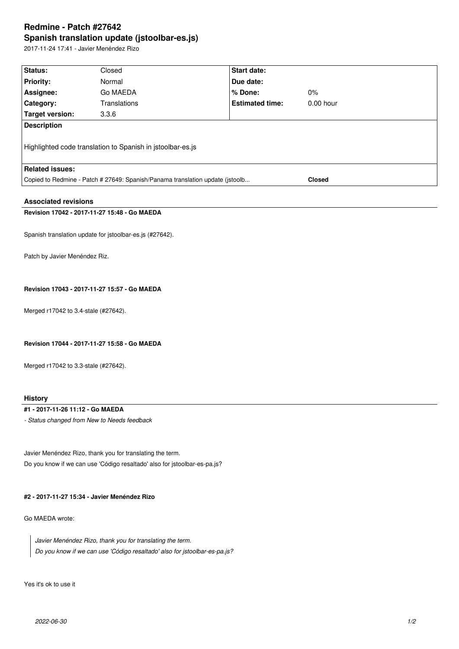# **Redmine - Patch #27642 Spanish translation update (jstoolbar-es.js)**

2017-11-24 17:41 - Javier Menéndez Rizo

| Status:                                                                       | Closed       | <b>Start date:</b>     |               |
|-------------------------------------------------------------------------------|--------------|------------------------|---------------|
| <b>Priority:</b>                                                              | Normal       | Due date:              |               |
| Assignee:                                                                     | Go MAEDA     | % Done:                | $0\%$         |
| <b>Category:</b>                                                              | Translations | <b>Estimated time:</b> | $0.00$ hour   |
| Target version:                                                               | 3.3.6        |                        |               |
| Description                                                                   |              |                        |               |
| Highlighted code translation to Spanish in jstoolbar-es.js                    |              |                        |               |
| <b>Related issues:</b>                                                        |              |                        |               |
| Copied to Redmine - Patch # 27649: Spanish/Panama translation update (istoolb |              |                        | <b>Closed</b> |
|                                                                               |              |                        |               |

## **Associated revisions**

## **Revision 17042 - 2017-11-27 15:48 - Go MAEDA**

Spanish translation update for jstoolbar-es.js (#27642).

Patch by Javier Menéndez Riz.

# **Revision 17043 - 2017-11-27 15:57 - Go MAEDA**

Merged r17042 to 3.4-stale (#27642).

**Revision 17044 - 2017-11-27 15:58 - Go MAEDA**

Merged r17042 to 3.3-stale (#27642).

## **History**

#### **#1 - 2017-11-26 11:12 - Go MAEDA**

*- Status changed from New to Needs feedback*

Javier Menéndez Rizo, thank you for translating the term. Do you know if we can use 'Código resaltado' also for jstoolbar-es-pa.js?

#### **#2 - 2017-11-27 15:34 - Javier Menéndez Rizo**

Go MAEDA wrote:

*Javier Menéndez Rizo, thank you for translating the term. Do you know if we can use 'Código resaltado' also for jstoolbar-es-pa.js?*

Yes it's ok to use it